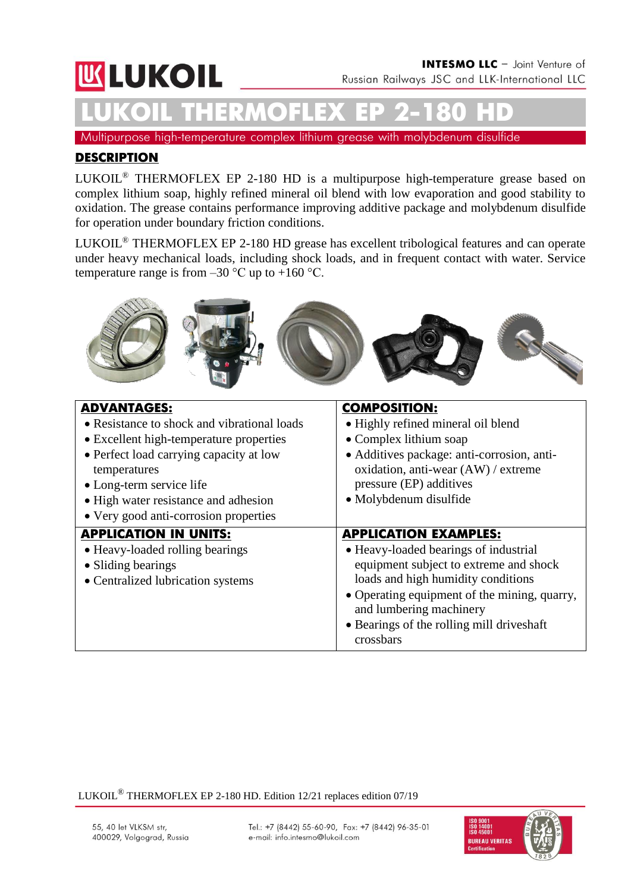# **WLUKOIL**

**LUKOIL THERMOFLEX ЕР 2-180 HD**

Multipurpose high-temperature complex lithium grease with molybdenum disulfide

### **DESCRIPTION**

LUKOIL® THERMOFLEX ЕР 2-180 HD is a multipurpose high-temperature grease based on complex lithium soap, highly refined mineral oil blend with low evaporation and good stability to oxidation. The grease contains performance improving additive package and molybdenum disulfide for operation under boundary friction conditions.

LUKOIL® THERMOFLEX ЕР 2-180 HD grease has excellent tribological features and can operate under heavy mechanical loads, including shock loads, and in frequent contact with water. Service temperature range is from  $-30$  °C up to  $+160$  °C.



| <b>ADVANTAGES:</b>                          | <b>COMPOSITION:</b>                          |  |  |
|---------------------------------------------|----------------------------------------------|--|--|
| • Resistance to shock and vibrational loads | • Highly refined mineral oil blend           |  |  |
| • Excellent high-temperature properties     | • Complex lithium soap                       |  |  |
| • Perfect load carrying capacity at low     | • Additives package: anti-corrosion, anti-   |  |  |
| temperatures                                | oxidation, anti-wear (AW) / extreme          |  |  |
| • Long-term service life                    | pressure (EP) additives                      |  |  |
| • High water resistance and adhesion        | • Molybdenum disulfide                       |  |  |
| • Very good anti-corrosion properties       |                                              |  |  |
|                                             |                                              |  |  |
| <b>APPLICATION IN UNITS:</b>                | <b>APPLICATION EXAMPLES:</b>                 |  |  |
| • Heavy-loaded rolling bearings             | • Heavy-loaded bearings of industrial        |  |  |
| • Sliding bearings                          | equipment subject to extreme and shock       |  |  |
| • Centralized lubrication systems           | loads and high humidity conditions           |  |  |
|                                             | • Operating equipment of the mining, quarry, |  |  |
|                                             | and lumbering machinery                      |  |  |
|                                             | • Bearings of the rolling mill drives haft   |  |  |

LUKOIL® THERMOFLEX EP 2-180 HD. Edition 12/21 replaces edition 07/19